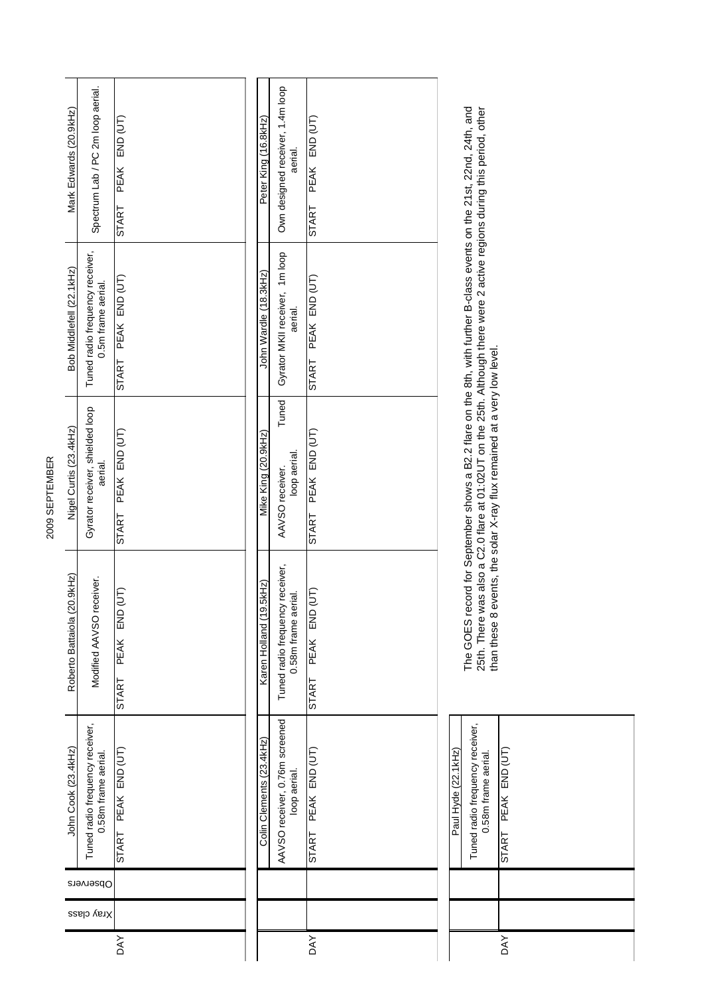| Spectrum Lab / PC 2m loop aerial.<br>Mark Edwards (20.9kHz)                       | PEAK END (UT)<br>START       | Own designed receiver, 1.4m loop<br>Peter King (16.8kHz)<br>PEAK END (UT)<br>aerial.<br>START                  |
|-----------------------------------------------------------------------------------|------------------------------|----------------------------------------------------------------------------------------------------------------|
| Tuned radio frequency receiver,<br>Bob Middlefell (22.1kHz)<br>0.5m frame aerial. | PEAK END (UT)<br>START       | Gyrator MKII receiver, 1m loop<br>John Wardle (18.3kHz)<br>PEAK END (UT)<br>aerial.<br>START                   |
| Gyrator receiver, shielded loop<br>Nigel Curtis (23.4kHz)<br>aerial.              | PEAK END (UT)<br>START       | Tuned<br>PEAK END (UT)<br>Mike King (20.9kHz)<br>loop aerial.<br>AAVSO receiver.<br><b>START</b>               |
| Roberto Battaiola (20.9kHz)<br>Modified AAVSO receiver.                           | (JL)<br>END<br>PEAK<br>START | Tuned radio frequency receiver,<br>Karen Holland (19.5kHz)<br>(JT)<br>0.58m frame aerial.<br>PEAK END<br>START |
| Tuned radio frequency receiver,<br>John Cook (23.4kHz)<br>0.58m frame aerial.     | START PEAK END (UT)          | AAVSO receiver, 0.76m screened<br>Colin Clements (23.4kHz)<br>START PEAK END (UT)<br>loop aerial.              |
| Observers                                                                         |                              |                                                                                                                |
| Xray class                                                                        |                              |                                                                                                                |
|                                                                                   | <b>DAY</b>                   | <b>DAY</b>                                                                                                     |

| Paul Hyde (22.1kHz) | Tuned radio frequency receiver,<br>0.58m frame aerial. | PEAK END (UT)<br>START |  |
|---------------------|--------------------------------------------------------|------------------------|--|
|                     |                                                        |                        |  |
|                     |                                                        |                        |  |
|                     |                                                        | DAY                    |  |

The GOES record for September shows a B2.2 flare on the 8th, with further B-class events on the 21st, 22nd, 24th, and<br>25th. There was also a C2.0 flare at 01:02UT on the 25th. Although there were 2 active regions during th The GOES record for September shows a B2.2 flare on the 8th, with further B-class events on the 21st, 22nd, 24th, and 25th. There was also a C2.0 flare at 01:02UT on the 25th. Although there were 2 active regions during this period, other than these 8 events, the solar X-ray flux remained at a very low level.

## 2009 SEPTEMBER 2009 SEPTEMBER